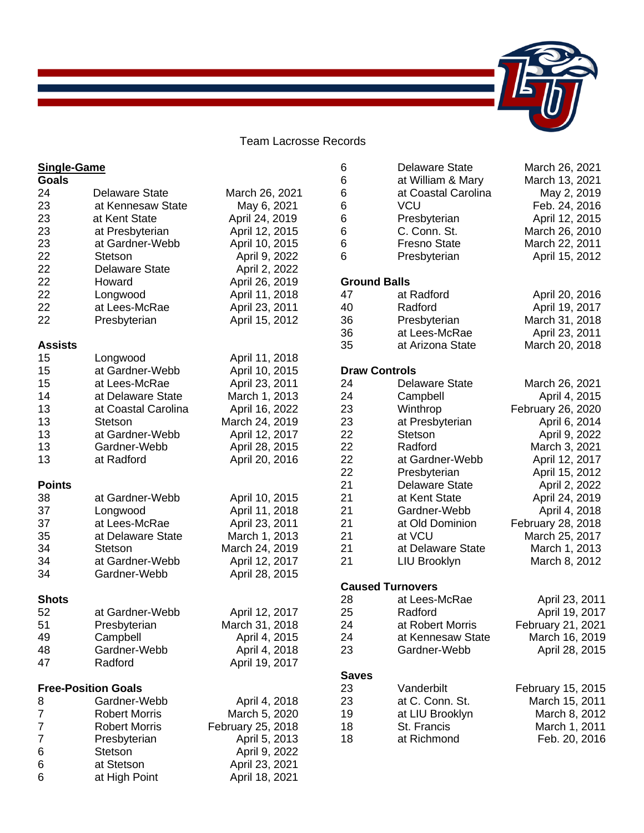## Team Lacrosse Records

| <b>Single-Game</b> |                            |                   | 6                   | <b>Delaware State</b>   | March 26, 2021    |
|--------------------|----------------------------|-------------------|---------------------|-------------------------|-------------------|
| <b>Goals</b>       |                            |                   | 6                   | at William & Mary       | March 13, 2021    |
| 24                 | <b>Delaware State</b>      | March 26, 2021    | 6                   | at Coastal Carolina     | May 2, 2019       |
| 23                 | at Kennesaw State          | May 6, 2021       | 6                   | <b>VCU</b>              | Feb. 24, 2016     |
| 23                 | at Kent State              | April 24, 2019    | 6                   | Presbyterian            | April 12, 2015    |
| 23                 | at Presbyterian            | April 12, 2015    | 6                   | C. Conn. St.            | March 26, 2010    |
| 23                 | at Gardner-Webb            |                   | 6                   | <b>Fresno State</b>     |                   |
| 22                 |                            | April 10, 2015    | 6                   |                         | March 22, 2011    |
|                    | Stetson                    | April 9, 2022     |                     | Presbyterian            | April 15, 2012    |
| 22                 | <b>Delaware State</b>      | April 2, 2022     |                     |                         |                   |
| 22                 | Howard                     | April 26, 2019    | <b>Ground Balls</b> |                         |                   |
| 22                 | Longwood                   | April 11, 2018    | 47                  | at Radford              | April 20, 2016    |
| 22                 | at Lees-McRae              | April 23, 2011    | 40                  | Radford                 | April 19, 2017    |
| 22                 | Presbyterian               | April 15, 2012    | 36                  | Presbyterian            | March 31, 2018    |
|                    |                            |                   | 36                  | at Lees-McRae           | April 23, 2011    |
| <b>Assists</b>     |                            |                   | 35                  | at Arizona State        | March 20, 2018    |
| 15                 | Longwood                   | April 11, 2018    |                     |                         |                   |
| 15                 | at Gardner-Webb            | April 10, 2015    |                     | <b>Draw Controls</b>    |                   |
| 15                 | at Lees-McRae              | April 23, 2011    | 24                  | <b>Delaware State</b>   | March 26, 2021    |
| 14                 | at Delaware State          | March 1, 2013     | 24                  | Campbell                | April 4, 2015     |
| 13                 | at Coastal Carolina        | April 16, 2022    | 23                  | Winthrop                | February 26, 2020 |
| 13                 | <b>Stetson</b>             | March 24, 2019    | 23                  | at Presbyterian         | April 6, 2014     |
| 13                 | at Gardner-Webb            | April 12, 2017    | 22                  | Stetson                 | April 9, 2022     |
| 13                 | Gardner-Webb               | April 28, 2015    | 22                  | Radford                 | March 3, 2021     |
| 13                 | at Radford                 | April 20, 2016    | 22                  | at Gardner-Webb         | April 12, 2017    |
|                    |                            |                   | 22                  | Presbyterian            | April 15, 2012    |
| <b>Points</b>      |                            |                   | 21                  | <b>Delaware State</b>   | April 2, 2022     |
| 38                 | at Gardner-Webb            |                   | 21                  | at Kent State           |                   |
|                    |                            | April 10, 2015    |                     |                         | April 24, 2019    |
| 37                 | Longwood                   | April 11, 2018    | 21                  | Gardner-Webb            | April 4, 2018     |
| 37                 | at Lees-McRae              | April 23, 2011    | 21                  | at Old Dominion         | February 28, 2018 |
| 35                 | at Delaware State          | March 1, 2013     | 21                  | at VCU                  | March 25, 2017    |
| 34                 | <b>Stetson</b>             | March 24, 2019    | 21                  | at Delaware State       | March 1, 2013     |
| 34                 | at Gardner-Webb            | April 12, 2017    | 21                  | LIU Brooklyn            | March 8, 2012     |
| 34                 | Gardner-Webb               | April 28, 2015    |                     |                         |                   |
|                    |                            |                   |                     | <b>Caused Turnovers</b> |                   |
| <b>Shots</b>       |                            |                   | 28                  | at Lees-McRae           | April 23, 2011    |
| 52                 | at Gardner-Webb            | April 12, 2017    | 25                  | Radford                 | April 19, 2017    |
| 51                 | Presbyterian               | March 31, 2018    | 24                  | at Robert Morris        | February 21, 2021 |
| 49                 | Campbell                   | April 4, 2015     | 24                  | at Kennesaw State       | March 16, 2019    |
| 48                 | Gardner-Webb               | April 4, 2018     | 23                  | Gardner-Webb            | April 28, 2015    |
| 47                 | Radford                    | April 19, 2017    |                     |                         |                   |
|                    |                            |                   | <b>Saves</b>        |                         |                   |
|                    | <b>Free-Position Goals</b> |                   | 23                  | Vanderbilt              | February 15, 2015 |
| 8                  | Gardner-Webb               | April 4, 2018     | 23                  | at C. Conn. St.         | March 15, 2011    |
| 7                  | <b>Robert Morris</b>       | March 5, 2020     | 19                  | at LIU Brooklyn         | March 8, 2012     |
| 7                  | <b>Robert Morris</b>       | February 25, 2018 | 18                  | St. Francis             | March 1, 2011     |
| 7                  | Presbyterian               | April 5, 2013     | 18                  | at Richmond             | Feb. 20, 2016     |
| 6                  | Stetson                    | April 9, 2022     |                     |                         |                   |
|                    | at Stetson                 | April 23, 2021    |                     |                         |                   |
| 6                  |                            |                   |                     |                         |                   |
| 6                  | at High Point              | April 18, 2021    |                     |                         |                   |